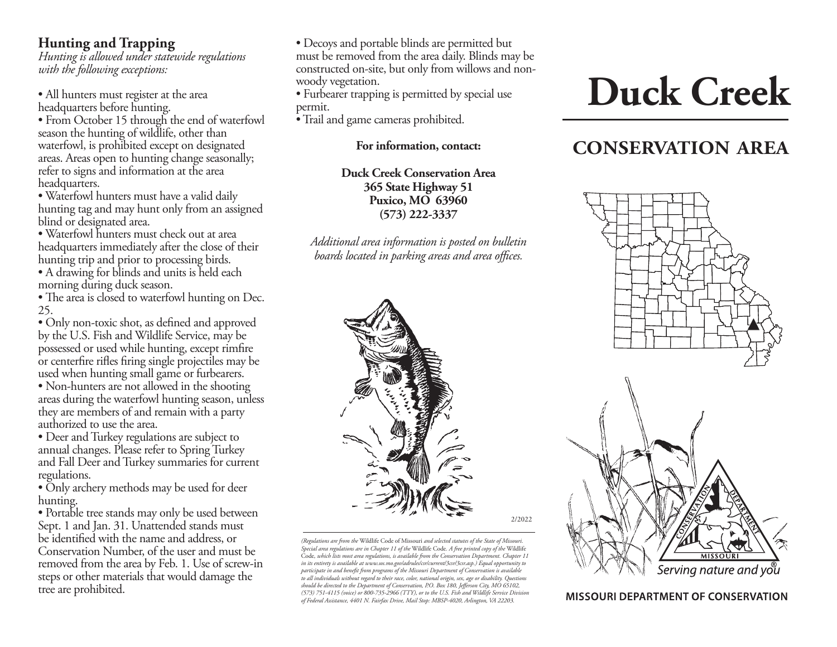### **Hunting and Trapping**

*Hunting is allowed under statewide regulations with the following exceptions:*

• All hunters must register at the area headquarters before hunting.

• From October 15 through the end of waterfowl season the hunting of wildlife, other than waterfowl, is prohibited except on designated areas. Areas open to hunting change seasonally; refer to signs and information at the area headquarters.

• Waterfowl hunters must have a valid daily hunting tag and may hunt only from an assigned blind or designated area.

• Waterfowl hunters must check out at area headquarters immediately after the close of their hunting trip and prior to processing birds.

• A drawing for blinds and units is held each morning during duck season.

• The area is closed to waterfowl hunting on Dec. 25.

• Only non-toxic shot, as defined and approved by the U.S. Fish and Wildlife Service, may be possessed or used while hunting, except rimfire or centerfire rifles firing single projectiles may be used when hunting small game or furbearers.

• Non-hunters are not allowed in the shooting areas during the waterfowl hunting season, unless they are members of and remain with a party authorized to use the area.

• Deer and Turkey regulations are subject to annual changes. Please refer to Spring Turkey and Fall Deer and Turkey summaries for current regulations.

• Only archery methods may be used for deer hunting.

• Portable tree stands may only be used between Sept. 1 and Jan. 31. Unattended stands must be identified with the name and address, or Conservation Number, of the user and must be removed from the area by Feb. 1. Use of screw-in steps or other materials that would damage the tree are prohibited.

• Decoys and portable blinds are permitted but must be removed from the area daily. Blinds may be constructed on-site, but only from willows and nonwoody vegetation.

• Furbearer trapping is permitted by special use permit.

• Trail and game cameras prohibited.

**For information, contact:** 

**Duck Creek Conservation Area 365 State Highway 51 Puxico, MO 63960 (573) 222-3337**

*Additional area information is posted on bulletin boards located in parking areas and area offices.*



*(Regulations are from the* Wildlife Code of Missouri *and selected statutes of the State of Missouri. Special area regulations are in Chapter 11 of the* Wildlife Code*. A free printed copy of the* Wildlife Code*, which lists most area regulations, is available from the Conservation Department. Chapter 11 in its entirety is available at www.sos.mo.gov/adrules/csr/current/3csr/3csr.asp.) Equal opportunity to participate in and benefit from programs of the Missouri Department of Conservation is available to all individuals without regard to their race, color, national origin, sex, age or disability. Questions should be directed to the Department of Conservation, P.O. Box 180, Jefferson City, MO 65102, (573) 751-4115 (voice) or 800-735-2966 (TTY), or to the U.S. Fish and Wildlife Service Division of Federal Assistance, 4401 N. Fairfax Drive, Mail Stop: MBSP-4020, Arlington, VA 22203.*

2/2022

# **Duck Creek**

## **CONSERVATION AREA**



**MISSOURI DEPARTMENT OF CONSERVATION**